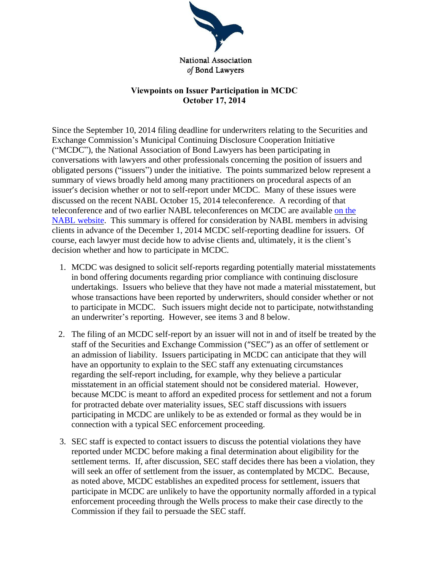

National Association of Bond Lawyers

## **Viewpoints on Issuer Participation in MCDC October 17, 2014**

Since the September 10, 2014 filing deadline for underwriters relating to the Securities and Exchange Commission's Municipal Continuing Disclosure Cooperation Initiative ("MCDC"), the National Association of Bond Lawyers has been participating in conversations with lawyers and other professionals concerning the position of issuers and obligated persons ("issuers") under the initiative. The points summarized below represent a summary of views broadly held among many practitioners on procedural aspects of an issuer's decision whether or not to self-report under MCDC. Many of these issues were discussed on the recent NABL October 15, 2014 teleconference. A recording of that teleconference and of two earlier NABL teleconferences on MCDC are available on [the](http://www.nabl.org/library/Multimedia.html) NABL [website.](http://www.nabl.org/library/Multimedia.html) This summary is offered for consideration by NABL members in advising clients in advance of the December 1, 2014 MCDC self-reporting deadline for issuers. Of course, each lawyer must decide how to advise clients and, ultimately, it is the client's decision whether and how to participate in MCDC.

- 1. MCDC was designed to solicit self-reports regarding potentially material misstatements in bond offering documents regarding prior compliance with continuing disclosure undertakings. Issuers who believe that they have not made a material misstatement, but whose transactions have been reported by underwriters, should consider whether or not to participate in MCDC. Such issuers might decide not to participate, notwithstanding an underwriter's reporting. However, see items 3 and 8 below.
- 2. The filing of an MCDC self-report by an issuer will not in and of itself be treated by the staff of the Securities and Exchange Commission ("SEC") as an offer of settlement or an admission of liability. Issuers participating in MCDC can anticipate that they will have an opportunity to explain to the SEC staff any extenuating circumstances regarding the self-report including, for example, why they believe a particular misstatement in an official statement should not be considered material. However, because MCDC is meant to afford an expedited process for settlement and not a forum for protracted debate over materiality issues, SEC staff discussions with issuers participating in MCDC are unlikely to be as extended or formal as they would be in connection with a typical SEC enforcement proceeding.
- 3. SEC staff is expected to contact issuers to discuss the potential violations they have reported under MCDC before making a final determination about eligibility for the settlement terms. If, after discussion, SEC staff decides there has been a violation, they will seek an offer of settlement from the issuer, as contemplated by MCDC. Because, as noted above, MCDC establishes an expedited process for settlement, issuers that participate in MCDC are unlikely to have the opportunity normally afforded in a typical enforcement proceeding through the Wells process to make their case directly to the Commission if they fail to persuade the SEC staff.